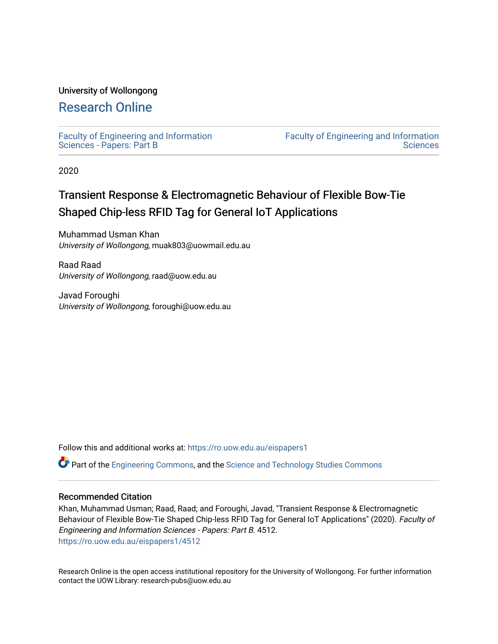# University of Wollongong

# [Research Online](https://ro.uow.edu.au/)

[Faculty of Engineering and Information](https://ro.uow.edu.au/eispapers1)  [Sciences - Papers: Part B](https://ro.uow.edu.au/eispapers1)

[Faculty of Engineering and Information](https://ro.uow.edu.au/eis)  **Sciences** 

2020

# Transient Response & Electromagnetic Behaviour of Flexible Bow-Tie Shaped Chip-less RFID Tag for General IoT Applications

Muhammad Usman Khan University of Wollongong, muak803@uowmail.edu.au

Raad Raad University of Wollongong, raad@uow.edu.au

Javad Foroughi University of Wollongong, foroughi@uow.edu.au

Follow this and additional works at: [https://ro.uow.edu.au/eispapers1](https://ro.uow.edu.au/eispapers1?utm_source=ro.uow.edu.au%2Feispapers1%2F4512&utm_medium=PDF&utm_campaign=PDFCoverPages) 

Part of the [Engineering Commons](http://network.bepress.com/hgg/discipline/217?utm_source=ro.uow.edu.au%2Feispapers1%2F4512&utm_medium=PDF&utm_campaign=PDFCoverPages), and the [Science and Technology Studies Commons](http://network.bepress.com/hgg/discipline/435?utm_source=ro.uow.edu.au%2Feispapers1%2F4512&utm_medium=PDF&utm_campaign=PDFCoverPages)

# Recommended Citation

Khan, Muhammad Usman; Raad, Raad; and Foroughi, Javad, "Transient Response & Electromagnetic Behaviour of Flexible Bow-Tie Shaped Chip-less RFID Tag for General IoT Applications" (2020). Faculty of Engineering and Information Sciences - Papers: Part B. 4512. [https://ro.uow.edu.au/eispapers1/4512](https://ro.uow.edu.au/eispapers1/4512?utm_source=ro.uow.edu.au%2Feispapers1%2F4512&utm_medium=PDF&utm_campaign=PDFCoverPages)

Research Online is the open access institutional repository for the University of Wollongong. For further information contact the UOW Library: research-pubs@uow.edu.au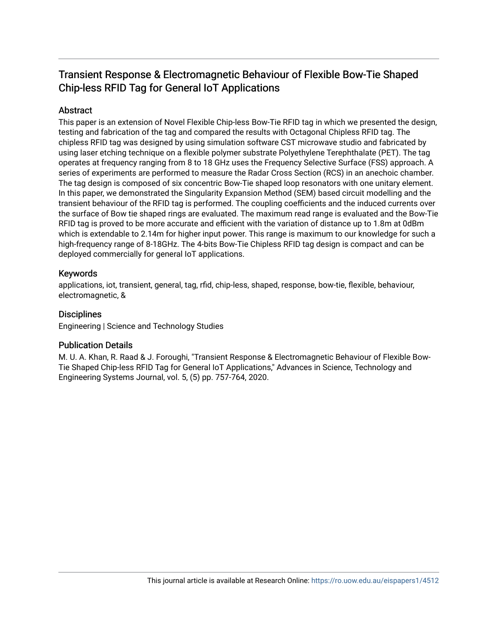# Transient Response & Electromagnetic Behaviour of Flexible Bow-Tie Shaped Chip-less RFID Tag for General IoT Applications

# **Abstract**

This paper is an extension of Novel Flexible Chip-less Bow-Tie RFID tag in which we presented the design, testing and fabrication of the tag and compared the results with Octagonal Chipless RFID tag. The chipless RFID tag was designed by using simulation software CST microwave studio and fabricated by using laser etching technique on a flexible polymer substrate Polyethylene Terephthalate (PET). The tag operates at frequency ranging from 8 to 18 GHz uses the Frequency Selective Surface (FSS) approach. A series of experiments are performed to measure the Radar Cross Section (RCS) in an anechoic chamber. The tag design is composed of six concentric Bow-Tie shaped loop resonators with one unitary element. In this paper, we demonstrated the Singularity Expansion Method (SEM) based circuit modelling and the transient behaviour of the RFID tag is performed. The coupling coefficients and the induced currents over the surface of Bow tie shaped rings are evaluated. The maximum read range is evaluated and the Bow-Tie RFID tag is proved to be more accurate and efficient with the variation of distance up to 1.8m at 0dBm which is extendable to 2.14m for higher input power. This range is maximum to our knowledge for such a high-frequency range of 8-18GHz. The 4-bits Bow-Tie Chipless RFID tag design is compact and can be deployed commercially for general IoT applications.

# Keywords

applications, iot, transient, general, tag, rfid, chip-less, shaped, response, bow-tie, flexible, behaviour, electromagnetic, &

# **Disciplines**

Engineering | Science and Technology Studies

# Publication Details

M. U. A. Khan, R. Raad & J. Foroughi, "Transient Response & Electromagnetic Behaviour of Flexible Bow-Tie Shaped Chip-less RFID Tag for General IoT Applications," Advances in Science, Technology and Engineering Systems Journal, vol. 5, (5) pp. 757-764, 2020.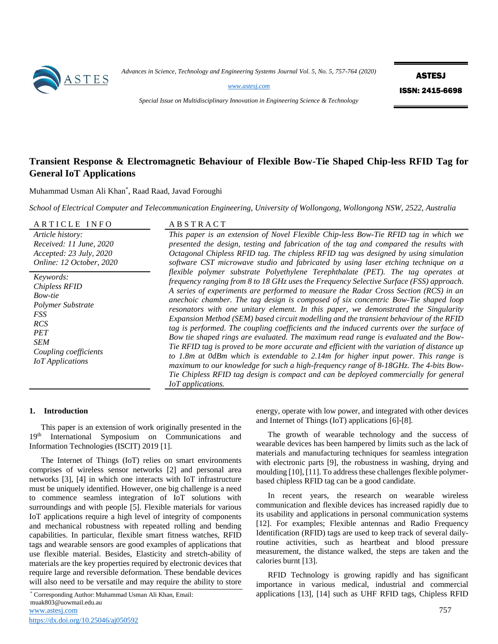

*Advances in Science, Technology and Engineering Systems Journal Vol. 5, No. 5, 757-764 (2020)*

ASTESJ ISSN: 2415-6698

*[www.astesj.com](http://www.astesj.com/)*

*Special Issue on Multidisciplinary Innovation in Engineering Science & Technology*

# **Transient Response & Electromagnetic Behaviour of Flexible Bow-Tie Shaped Chip-less RFID Tag for General IoT Applications**

Muhammad Usman Ali Khan\* , Raad Raad, Javad Foroughi

*School of Electrical Computer and Telecommunication Engineering, University of Wollongong, Wollongong NSW, 2522, Australia*

| ARTICLE INFO                                                                                                                                              | <b>ABSTRACT</b>                                                                                                                                                                                                                                                                                                                                                                                                                                                                                                                                                                                                                                                                                                                                                                                                                                                                                                                                                                                                                     |
|-----------------------------------------------------------------------------------------------------------------------------------------------------------|-------------------------------------------------------------------------------------------------------------------------------------------------------------------------------------------------------------------------------------------------------------------------------------------------------------------------------------------------------------------------------------------------------------------------------------------------------------------------------------------------------------------------------------------------------------------------------------------------------------------------------------------------------------------------------------------------------------------------------------------------------------------------------------------------------------------------------------------------------------------------------------------------------------------------------------------------------------------------------------------------------------------------------------|
| Article history:<br>Received: 11 June, 2020<br>Accepted: 23 July, 2020<br>Online: 12 October, 2020                                                        | This paper is an extension of Novel Flexible Chip-less Bow-Tie RFID tag in which we<br>presented the design, testing and fabrication of the tag and compared the results with<br>Octagonal Chipless RFID tag. The chipless RFID tag was designed by using simulation<br>software CST microwave studio and fabricated by using laser etching technique on a<br>flexible polymer substrate Polyethylene Terephthalate (PET). The tag operates at                                                                                                                                                                                                                                                                                                                                                                                                                                                                                                                                                                                      |
| Keywords:<br>Chipless RFID<br>Bow-tie<br>Polymer Substrate<br>FSS-<br>RCS<br><b>PET</b><br><b>SEM</b><br>Coupling coefficients<br><b>IoT</b> Applications | frequency ranging from 8 to 18 GHz uses the Frequency Selective Surface (FSS) approach.<br>A series of experiments are performed to measure the Radar Cross Section (RCS) in an<br>anechoic chamber. The tag design is composed of six concentric Bow-Tie shaped loop<br>resonators with one unitary element. In this paper, we demonstrated the Singularity<br>Expansion Method (SEM) based circuit modelling and the transient behaviour of the RFID<br>tag is performed. The coupling coefficients and the induced currents over the surface of<br>Bow tie shaped rings are evaluated. The maximum read range is evaluated and the Bow-<br>Tie RFID tag is proved to be more accurate and efficient with the variation of distance up<br>to 1.8m at 0dBm which is extendable to 2.14m for higher input power. This range is<br>maximum to our knowledge for such a high-frequency range of 8-18GHz. The 4-bits Bow-<br>Tie Chipless RFID tag design is compact and can be deployed commercially for general<br>IoT applications. |

## **1. Introduction**

This paper is an extension of work originally presented in the 19<sup>th</sup> International Symposium on Communications and Information Technologies (ISCIT) 2019 [1].

The Internet of Things (IoT) relies on smart environments comprises of wireless sensor networks [2] and personal area networks [3], [4] in which one interacts with IoT infrastructure must be uniquely identified. However, one big challenge is a need to commence seamless integration of IoT solutions with surroundings and with people [5]. Flexible materials for various IoT applications require a high level of integrity of components and mechanical robustness with repeated rolling and bending capabilities. In particular, flexible smart fitness watches, RFID tags and wearable sensors are good examples of applications that use flexible material. Besides, Elasticity and stretch-ability of materials are the key properties required by electronic devices that require large and reversible deformation. These bendable devices will also need to be versatile and may require the ability to store energy, operate with low power, and integrated with other devices and Internet of Things (IoT) applications [6]-[8].

The growth of wearable technology and the success of wearable devices has been hampered by limits such as the lack of materials and manufacturing techniques for seamless integration with electronic parts [9], the robustness in washing, drying and moulding [10], [11]. To address these challenges flexible polymerbased chipless RFID tag can be a good candidate.

In recent years, the research on wearable wireless communication and flexible devices has increased rapidly due to its usability and applications in personal communication systems [12]. For examples; Flexible antennas and Radio Frequency Identification (RFID) tags are used to keep track of several dailyroutine activities, such as heartbeat and blood pressure measurement, the distance walked, the steps are taken and the calories burnt [13].

RFID Technology is growing rapidly and has significant importance in various medical, industrial and commercial applications [13], [14] such as UHF RFID tags, Chipless RFID

[www.astesj.com](http://www.astesj.com/) 757 \* Corresponding Author: Muhammad Usman Ali Khan, Email: muak803@uowmail.edu.au <https://dx.doi.org/10.25046/aj050592>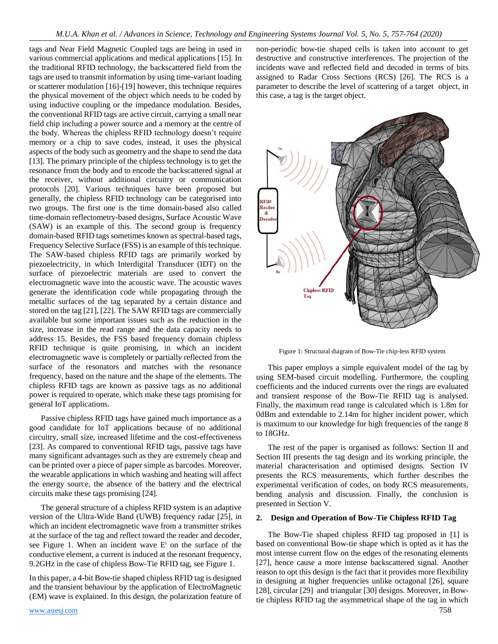tags and Near Field Magnetic Coupled tags are being in used in various commercial applications and medical applications [15]. In the traditional RFID technology, the backscattered field from the tags are used to transmit information by using time-variant loading or scatterer modulation [16]-[19] however, this technique requires the physical movement of the object which needs to be coded by using inductive coupling or the impedance modulation. Besides, the conventional RFID tags are active circuit, carrying a small near field chip including a power source and a memory at the centre of the body. Whereas the chipless RFID technology doesn't require memory or a chip to save codes, instead, it uses the physical aspects of the body such as geometry and the shape to send the data [13]. The primary principle of the chipless technology is to get the resonance from the body and to encode the backscattered signal at the receiver, without additional circuitry or communication protocols [20]. Various techniques have been proposed but generally, the chipless RFID technology can be categorised into two groups. The first one is the time domain-based also called time-domain reflectometry-based designs, Surface Acoustic Wave (SAW) is an example of this. The second group is frequency domain-based RFID tags sometimes known as spectral-based tags, Frequency Selective Surface (FSS) is an example of this technique. The SAW-based chipless RFID tags are primarily worked by piezoelectricity, in which Interdigital Transducer (IDT) on the surface of piezoelectric materials are used to convert the electromagnetic wave into the acoustic wave. The acoustic waves generate the identification code while propagating through the metallic surfaces of the tag separated by a certain distance and stored on the tag [21], [22]. The SAW RFID tags are commercially available but some important issues such as the reduction in the size, increase in the read range and the data capacity needs to address 15. Besides, the FSS based frequency domain chipless RFID technique is quite promising, in which an incident electromagnetic wave is completely or partially reflected from the surface of the resonators and matches with the resonance frequency, based on the nature and the shape of the elements. The chipless RFID tags are known as passive tags as no additional power is required to operate, which make these tags promising for general IoT applications.

Passive chipless RFID tags have gained much importance as a good candidate for IoT applications because of no additional circuitry, small size, increased lifetime and the cost-effectiveness [23]. As compared to conventional RFID tags, passive tags have many significant advantages such as they are extremely cheap and can be printed over a piece of paper simple as barcodes. Moreover, the wearable applications in which washing and heating will affect the energy source, the absence of the battery and the electrical circuits make these tags promising [24].

The general structure of a chipless RFID system is an adaptive version of the Ultra-Wide Band (UWB) frequency radar [25], in which an incident electromagnetic wave from a transmitter strikes at the surface of the tag and reflect toward the reader and decoder, see Figure 1. When an incident wave  $E^i$  on the surface of the conductive element, a current is induced at the resonant frequency, 9.2GHz in the case of chipless Bow-Tie RFID tag, see Figure 1.

In this paper, a 4-bit Bow-tie shaped chipless RFID tag is designed and the transient behaviour by the application of ElectroMagnetic (EM) wave is explained. In this design, the polarization feature of non-periodic bow-tie shaped cells is taken into account to get destructive and constructive interferences. The projection of the incidents wave and reflected field and decoded in terms of bits assigned to Radar Cross Sections (RCS) [26]. The RCS is a parameter to describe the level of scattering of a target object, in this case, a tag is the target object.



Figure 1: Structural diagram of Bow-Tie chip-less RFID system

This paper employs a simple equivalent model of the tag by using SEM-based circuit modelling. Furthermore, the coupling coefficients and the induced currents over the rings are evaluated and transient response of the Bow-Tie RFID tag is analysed. Finally, the maximum read range is calculated which is 1.8m for 0dBm and extendable to 2.14m for higher incident power, which is maximum to our knowledge for high frequencies of the range 8 to 18GHz.

The rest of the paper is organised as follows: Section II and Section III presents the tag design and its working principle, the material characterisation and optimised designs. Section IV presents the RCS measurements, which further describes the experimental verification of codes, on body RCS measurements, bending analysis and discussion. Finally, the conclusion is presented in Section V.

## **2. Design and Operation of Bow-Tie Chipless RFID Tag**

The Bow-Tie shaped chipless RFID tag proposed in [1] is based on conventional Bow-tie shape which is opted as it has the most intense current flow on the edges of the resonating elements [27], hence cause a more intense backscattered signal. Another reason to opt this design is the fact that it provides more flexibility in designing at higher frequencies unlike octagonal [26], square [28], circular [29] and triangular [30] designs. Moreover, in Bowtie chipless RFID tag the asymmetrical shape of the tag in which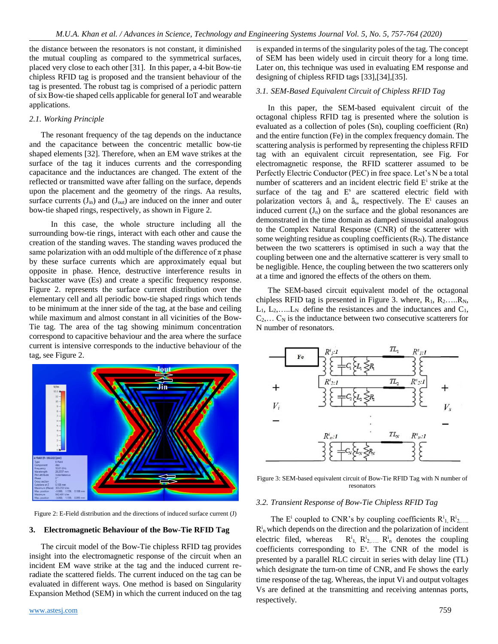the distance between the resonators is not constant, it diminished the mutual coupling as compared to the symmetrical surfaces, placed very close to each other [31]. In this paper, a 4-bit Bow-tie chipless RFID tag is proposed and the transient behaviour of the tag is presented. The robust tag is comprised of a periodic pattern of six Bow-tie shaped cells applicable for general IoT and wearable applications.

## *2.1. Working Principle*

The resonant frequency of the tag depends on the inductance and the capacitance between the concentric metallic bow-tie shaped elements [32]. Therefore, when an EM wave strikes at the surface of the tag it induces currents and the corresponding capacitance and the inductances are changed. The extent of the reflected or transmitted wave after falling on the surface, depends upon the placement and the geometry of the rings. Aa results, surface currents  $(J_{in})$  and  $(J_{out})$  are induced on the inner and outer bow-tie shaped rings, respectively, as shown in Figure 2.

 In this case, the whole structure including all the surrounding bow-tie rings, interact with each other and cause the creation of the standing waves. The standing waves produced the same polarization with an odd multiple of the difference of  $\pi$  phase by these surface currents which are approximately equal but opposite in phase. Hence, destructive interference results in backscatter wave (Es) and create a specific frequency response. Figure 2. represents the surface current distribution over the elementary cell and all periodic bow-tie shaped rings which tends to be minimum at the inner side of the tag, at the base and ceiling while maximum and almost constant in all vicinities of the Bow-Tie tag. The area of the tag showing minimum concentration correspond to capacitive behaviour and the area where the surface current is intensive corresponds to the inductive behaviour of the tag, see Figure 2.



Figure 2: E-Field distribution and the directions of induced surface current (J)

## **3. Electromagnetic Behaviour of the Bow-Tie RFID Tag**

The circuit model of the Bow-Tie chipless RFID tag provides insight into the electromagnetic response of the circuit when an incident EM wave strike at the tag and the induced current reradiate the scattered fields. The current induced on the tag can be evaluated in different ways. One method is based on Singularity Expansion Method (SEM) in which the current induced on the tag is expanded in terms of the singularity poles of the tag. The concept of SEM has been widely used in circuit theory for a long time. Later on, this technique was used in evaluating EM response and designing of chipless RFID tags [33],[34],[35].

## *3.1. SEM-Based Equivalent Circuit of Chipless RFID Tag*

In this paper, the SEM-based equivalent circuit of the octagonal chipless RFID tag is presented where the solution is evaluated as a collection of poles (Sn), coupling coefficient (Rn) and the entire function (Fe) in the complex frequency domain. The scattering analysis is performed by representing the chipless RFID tag with an equivalent circuit representation, see Fig. For electromagnetic response, the RFID scatterer assumed to be Perfectly Electric Conductor (PEC) in free space. Let's N be a total number of scatterers and an incident electric field E<sup>i</sup> strike at the surface of the tag and  $E^s$  are scattered electric field with polarization vectors  $\hat{a}_i$  and  $\hat{a}_s$ , respectively. The  $E^i$  causes an induced current  $(J_n)$  on the surface and the global resonances are demonstrated in the time domain as damped sinusoidal analogous to the Complex Natural Response (CNR) of the scatterer with some weighting residue as coupling coefficients  $(R_N)$ . The distance between the two scatterers is optimised in such a way that the coupling between one and the alternative scatterer is very small to be negligible. Hence, the coupling between the two scatterers only at a time and ignored the effects of the others on them.

The SEM-based circuit equivalent model of the octagonal chipless RFID tag is presented in Figure 3. where,  $R_1, R_2, \ldots, R_N$ ,  $L_1, L_2, \ldots, L_N$  define the resistances and the inductances and  $C_1$ ,  $C_2$ ,...  $C_N$  is the inductance between two consecutive scatterers for N number of resonators.



Figure 3: SEM-based equivalent circuit of Bow-Tie RFID Tag with N number of resonators

### *3.2. Transient Response of Bow-Tie Chipless RFID Tag*

The E<sup>i</sup> coupled to CNR's by coupling coefficients  $R^i_1, R^i_2, \dots$  $R_{\text{n}}^i$  which depends on the direction and the polarization of incident electric filed, whereas  $R_{1}^{i}$ ,  $R_{2}^{i}$ ,  $R_{n}^{i}$  denotes the coupling coefficients corresponding to E<sup>s</sup>. The CNR of the model is presented by a parallel RLC circuit in series with delay line (TL) which designate the turn-on time of CNR, and Fe shows the early time response of the tag. Whereas, the input Vi and output voltages Vs are defined at the transmitting and receiving antennas ports, respectively.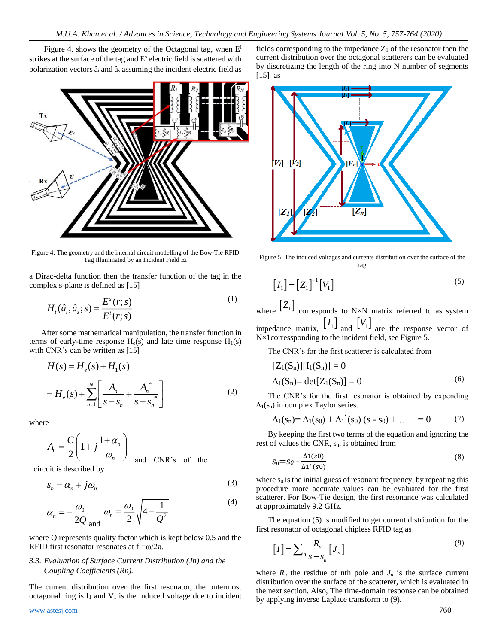Figure 4. shows the geometry of the Octagonal tag, when  $E^i$ strikes at the surface of the tag and E<sup>s</sup> electric field is scattered with polarization vectors  $\hat{a}_i$  and  $\hat{a}_s$  assuming the incident electric field as



Figure 4: The geometry and the internal circuit modelling of the Bow-Tie RFID Tag Illuminated by an Incident Field Ei

a Dirac-delta function then the transfer function of the tag in the complex s-plane is defined as [15]

$$
H_t(\hat{a}_i, \hat{a}_s; s) = \frac{E^s(r; s)}{E^i(r; s)}
$$
(1)

After some mathematical manipulation, the transfer function in terms of early-time response  $H_e(s)$  and late time response  $H_1(s)$ with CNR's can be written as [15]

$$
H(s) = H_e(s) + H_1(s)
$$
  
=  $H_e(s) + \sum_{n=1}^{N} \left[ \frac{A_n}{s - s_n} + \frac{A_n^*}{s - s_n^*} \right]$  (2)

where

$$
A_n = \frac{C}{2} \left( 1 + j \frac{1 + \alpha_n}{\omega_n} \right)
$$
 and CNR's of the

circuit is described by

$$
S_n = \alpha_n + j\omega_n \tag{3}
$$

$$
\alpha_n = -\frac{\omega_0}{2Q} \omega_{\text{and}} \quad \omega_n = \frac{\omega_0}{2} \sqrt{4 - \frac{1}{Q^2}}
$$
 (4)

where Q represents quality factor which is kept below 0.5 and the RFID first resonator resonates at  $f_1 = \omega/2\pi$ .

# *3.3. Evaluation of Surface Current Distribution (Jn) and the Coupling Coefficients (Rn).*

The current distribution over the first resonator, the outermost octagonal ring is  $I_1$  and  $V_1$  is the induced voltage due to incident

fields corresponding to the impedance  $Z_1$  of the resonator then the current distribution over the octagonal scatterers can be evaluated by discretizing the length of the ring into N number of segments [15] as



Figure 5: The induced voltages and currents distribution over the surface of the tag

$$
\left[I_1\right] = \left[Z_1\right]^{-1} \left[V_1\right] \tag{5}
$$

where  $[Z_1]$  corresponds to N×N matrix referred to as system impedance matrix,  $[I_1]$  and  $[V_1]$  are the response vector of N×1corressponding to the incident field, see Figure 5.

The CNR's for the first scatterer is calculated from

$$
[Z_1(S_n)][I_1(S_n)] = 0
$$
  
\n
$$
\Delta_1(S_n) = det[Z_1(S_n)] = 0
$$
\n(6)

The CNR's for the first resonator is obtained by expending  $\Delta_1$ (s<sub>n</sub>) in complex Taylor series.

$$
\Delta_1(s_n) = \Delta_1(s_0) + \Delta_1'(s_0) (s - s_0) + \dots = 0 \tag{7}
$$

By keeping the first two terms of the equation and ignoring the rest of values the CNR,  $s_n$ , is obtained from

$$
S_n = S_0 - \frac{\Delta 1(s_0)}{\Delta 1'(s_0)}
$$
 (8)

where  $s_0$  is the initial guess of resonant frequency, by repeating this procedure more accurate values can be evaluated for the first scatterer. For Bow-Tie design, the first resonance was calculated at approximately 9.2 GHz.

The equation (5) is modified to get current distribution for the first resonator of octagonal chipless RFID tag as

$$
[I] = \sum_{n} \frac{R_n}{s - s_n} [J_n]
$$
\n<sup>(9)</sup>

where  $R_n$  the residue of nth pole and  $J_n$  is the surface current distribution over the surface of the scatterer, which is evaluated in the next section. Also, The time-domain response can be obtained by applying inverse Laplace transform to (9).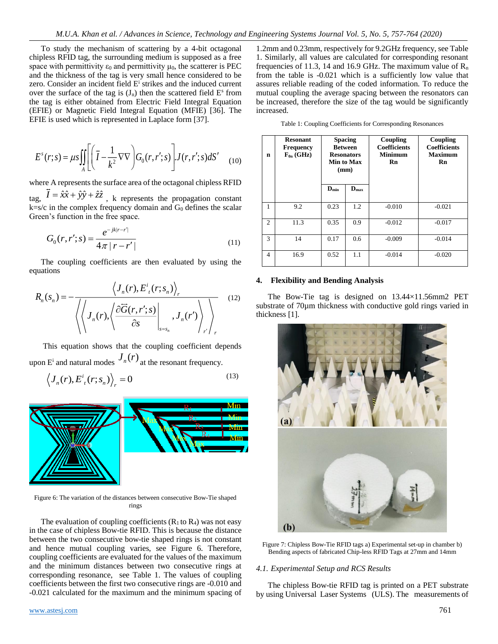To study the mechanism of scattering by a 4-bit octagonal chipless RFID tag, the surrounding medium is supposed as a free space with permittivity  $\varepsilon_0$  and permittivity  $\mu_0$ , the scatterer is PEC and the thickness of the tag is very small hence considered to be zero. Consider an incident field  $E<sup>i</sup>$  strikes and the induced current over the surface of the tag is  $(J_n)$  then the scattered field  $E^s$  from the tag is either obtained from Electric Field Integral Equation (EFIE) or Magnetic Field Integral Equation (MFIE) [36]. The EFIE is used which is represented in Laplace form [37].

$$
E^{s}(r;s) = \mu s \iint_{A} \left[ \left( \tilde{I} - \frac{1}{k^2} \nabla \nabla \right) G_0(r,r';s) \right] J(r,r';s) dS'
$$
 (10)

where A represents the surface area of the octagonal chipless RFID  $t_{\text{tag}}$ ,  $I = \hat{x}\hat{x} + \hat{y}\hat{y} + \hat{z}\hat{z}$ , k represents the propagation constant  $k=s/c$  in the complex frequency domain and  $G_0$  defines the scalar Green's function in the free space.

$$
G_0(r, r'; s) = \frac{e^{-j k |r - r'|}}{4\pi |r - r'|}
$$
\n(11)

The coupling coefficients are then evaluated by using the equations

$$
R_n(s_n) = -\frac{\langle J_n(r), E^i_{\ i}(r; s_n) \rangle_r}{\langle \langle J_n(r), \langle \frac{\partial \vec{G}(r, r'; s)}{\partial s} \Big|_{s=s_n}, J_n(r') \rangle_r} \tag{12}
$$

This equation shows that the coupling coefficient depends upon  $E^i$  and natural modes  $J_n(r)$  at the resonant frequency.

$$
\left\langle J_n(r), E^i_{\ t}(r; s_n) \right\rangle_r = 0 \tag{13}
$$



Figure 6: The variation of the distances between consecutive Bow-Tie shaped rings

The evaluation of coupling coefficients  $(R_1 \text{ to } R_4)$  was not easy in the case of chipless Bow-tie RFID. This is because the distance between the two consecutive bow-tie shaped rings is not constant and hence mutual coupling varies, see Figure 6. Therefore, coupling coefficients are evaluated for the values of the maximum and the minimum distances between two consecutive rings at corresponding resonance, see Table 1. The values of coupling coefficients between the first two consecutive rings are -0.010 and -0.021 calculated for the maximum and the minimum spacing of

1.2mm and 0.23mm, respectively for 9.2GHz frequency, see Table 1. Similarly, all values are calculated for corresponding resonant frequencies of 11.3, 14 and 16.9 GHz. The maximum value of  $R_n$ from the table is -0.021 which is a sufficiently low value that assures reliable reading of the coded information. To reduce the mutual coupling the average spacing between the resonators can be increased, therefore the size of the tag would be significantly increased.

Table 1: Coupling Coefficients for Corresponding Resonances

| n              | <b>Resonant</b><br><b>Frequency</b><br>$F_{0n}$ (GHz) | <b>Spacing</b><br><b>Between</b><br><b>Resonators</b><br>Min to Max<br>(mm) |                  | Coupling<br><b>Coefficients</b><br><b>Minimum</b><br>Rn | Coupling<br><b>Coefficients</b><br><b>Maximum</b><br>Rn |
|----------------|-------------------------------------------------------|-----------------------------------------------------------------------------|------------------|---------------------------------------------------------|---------------------------------------------------------|
|                |                                                       | $\mathbf{D}_{\text{min}}$                                                   | $D_{\text{max}}$ |                                                         |                                                         |
| 1              | 9.2                                                   | 0.23                                                                        | 1.2              | $-0.010$                                                | $-0.021$                                                |
| $\overline{2}$ | 11.3                                                  | 0.35                                                                        | 0.9              | $-0.012$                                                | $-0.017$                                                |
| 3              | 14                                                    | 0.17                                                                        | $0.6^{\circ}$    | $-0.009$                                                | $-0.014$                                                |
| 4              | 16.9                                                  | 0.52                                                                        | 1.1              | $-0.014$                                                | $-0.020$                                                |

### **4. Flexibility and Bending Analysis**

The Bow-Tie tag is designed on 13.44×11.56mm2 PET substrate of 70µm thickness with conductive gold rings varied in thickness [1].



Figure 7: Chipless Bow-Tie RFID tags a) Experimental set-up in chamber b) Bending aspects of fabricated Chip-less RFID Tags at 27mm and 14mm

#### *4.1. Experimental Setup and RCS Results*

The chipless Bow-tie RFID tag is printed on a PET substrate by using Universal Laser Systems (ULS). The measurements of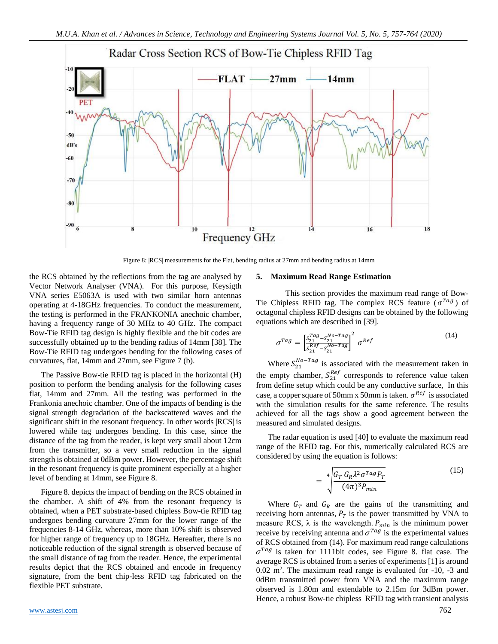

Figure 8: |RCS| measurements for the Flat, bending radius at 27mm and bending radius at 14mm

the RCS obtained by the reflections from the tag are analysed by Vector Network Analyser (VNA). For this purpose, Keysigth VNA series E5063A is used with two similar horn antennas operating at 4-18GHz frequencies. To conduct the measurement, the testing is performed in the FRANKONIA anechoic chamber, having a frequency range of 30 MHz to 40 GHz. The compact Bow-Tie RFID tag design is highly flexible and the bit codes are successfully obtained up to the bending radius of 14mm [38]. The Bow-Tie RFID tag undergoes bending for the following cases of curvatures, flat, 14mm and 27mm, see Figure 7 (b).

The Passive Bow-tie RFID tag is placed in the horizontal (H) position to perform the bending analysis for the following cases flat, 14mm and 27mm. All the testing was performed in the Frankonia anechoic chamber. One of the impacts of bending is the signal strength degradation of the backscattered waves and the significant shift in the resonant frequency. In other words |RCS| is lowered while tag undergoes bending. In this case, since the distance of the tag from the reader, is kept very small about 12cm from the transmitter, so a very small reduction in the signal strength is obtained at 0dBm power. However, the percentage shift in the resonant frequency is quite prominent especially at a higher level of bending at 14mm, see Figure 8.

Figure 8. depicts the impact of bending on the RCS obtained in the chamber. A shift of 4% from the resonant frequency is obtained, when a PET substrate-based chipless Bow-tie RFID tag undergoes bending curvature 27mm for the lower range of the frequencies 8-14 GHz, whereas, more than 10% shift is observed for higher range of frequency up to 18GHz. Hereafter, there is no noticeable reduction of the signal strength is observed because of the small distance of tag from the reader. Hence, the experimental results depict that the RCS obtained and encode in frequency signature, from the bent chip-less RFID tag fabricated on the flexible PET substrate.

### **5. Maximum Read Range Estimation**

This section provides the maximum read range of Bow-Tie Chipless RFID tag. The complex RCS feature ( $\sigma^{Tag}$ ) of octagonal chipless RFID designs can be obtained by the following equations which are described in [39].

$$
\sigma^{Tag} = \left[\frac{s_{21}^{Tag} - s_{21}^{No - Tag}}{s_{21}^{Ref} - s_{21}^{No - Tag}}\right]^2 \sigma^{Ref}
$$
\n(14)

Where  $S_{21}^{No-Tag}$  is associated with the measurement taken in the empty chamber,  $S_{21}^{Ref}$  corresponds to reference value taken from define setup which could be any conductive surface, In this case, a copper square of 50mm x 50mm is taken.  $\sigma^{Ref}$  is associated with the simulation results for the same reference. The results achieved for all the tags show a good agreement between the measured and simulated designs.

The radar equation is used [40] to evaluate the maximum read range of the RFID tag. For this, numerically calculated RCS are considered by using the equation is follows:

$$
= \sqrt[4]{\frac{G_T G_R \lambda^2 \sigma^{Tag} P_T}{(4\pi)^3 P_{min}}} \tag{15}
$$

Where  $G_T$  and  $G_R$  are the gains of the transmitting and receiving horn antennas,  $P_T$  is the power transmitted by VNA to measure RCS,  $\lambda$  is the wavelength.  $P_{min}$  is the minimum power receive by receiving antenna and  $\sigma^{Tag}$  is the experimental values of RCS obtained from (14). For maximum read range calculations  $\sigma^{Tag}$  is taken for 1111bit codes, see Figure 8. flat case. The average RCS is obtained from a series of experiments [1] is around  $0.02$  m<sup>2</sup>. The maximum read range is evaluated for  $-10$ ,  $-3$  and 0dBm transmitted power from VNA and the maximum range observed is 1.80m and extendable to 2.15m for 3dBm power. Hence, a robust Bow-tie chipless RFID tag with transient analysis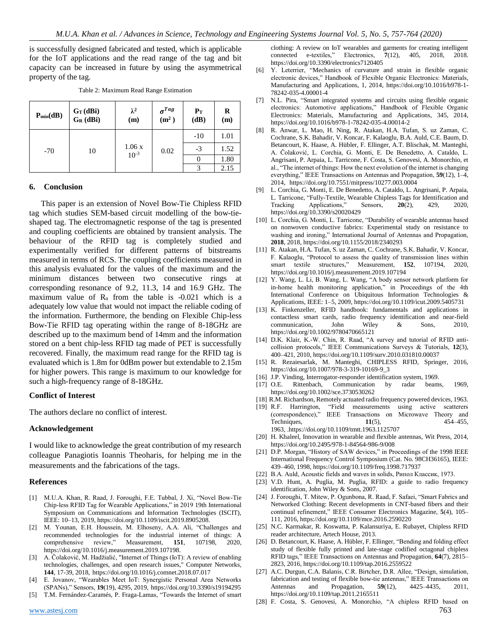is successfully designed fabricated and tested, which is applicable for the IoT applications and the read range of the tag and bit capacity can be increased in future by using the asymmetrical property of the tag.

| Table 2: Maximum Read Range Estimation |  |  |  |
|----------------------------------------|--|--|--|
|----------------------------------------|--|--|--|

| $P_{min}(dB)$ | $G_T(dBi)$<br>$G_R$ (dBi) | $\lambda^2$<br>(m) | $\sigma^{Tag}$<br>(m <sup>2</sup> ) | $P_T$<br>(dB) | R<br>(m) |
|---------------|---------------------------|--------------------|-------------------------------------|---------------|----------|
|               | 10                        | 1.06x<br>$10^{-3}$ | 0.02                                | $-10$         | 1.01     |
| $-70$         |                           |                    |                                     | $-3$          | 1.52     |
|               |                           |                    |                                     |               | 1.80     |
|               |                           |                    |                                     |               | 2.15     |

## **6. Conclusion**

This paper is an extension of Novel Bow-Tie Chipless RFID tag which studies SEM-based circuit modelling of the bow-tieshaped tag. The electromagnetic response of the tag is presented and coupling coefficients are obtained by transient analysis. The behaviour of the RFID tag is completely studied and experimentally verified for different patterns of bitstreams measured in terms of RCS. The coupling coefficients measured in this analysis evaluated for the values of the maximum and the minimum distances between two consecutive rings at corresponding resonance of 9.2, 11.3, 14 and 16.9 GHz. The maximum value of  $R_n$  from the table is -0.021 which is a adequately low value that would not impact the reliable coding of the information. Furthermore, the bending on Flexible Chip-less Bow-Tie RFID tag operating within the range of 8-18GHz are described up to the maximum bend of 14mm and the information stored on a bent chip-less RFID tag made of PET is successfully recovered. Finally, the maximum read range for the RFID tag is evaluated which is 1.8m for 0dBm power but extendable to 2.15m for higher powers. This range is maximum to our knowledge for such a high-frequency range of 8-18GHz.

## **Conflict of Interest**

The authors declare no conflict of interest.

#### **Acknowledgement**

I would like to acknowledge the great contribution of my research colleague Panagiotis Ioannis Theoharis, for helping me in the measurements and the fabrications of the tags.

#### **References**

- [1] M.U.A. Khan, R. Raad, J. Foroughi, F.E. Tubbal, J. Xi, "Novel Bow-Tie Chip-less RFID Tag for Wearable Applications," in 2019 19th International Symposium on Communications and Information Technologies (ISCIT), IEEE: 10–13, 2019, https://doi.org/10.1109/iscit.2019.8905208.
- [2] M. Younan, E.H. Houssein, M. Elhoseny, A.A. Ali, "Challenges and recommended technologies for the industrial internet of things: A comprehensive review," Measurement, **151**, 107198, 2020, https://doi.org/10.1016/j.measurement.2019.107198.
- [3] A. Čolaković, M. Hadžialić, "Internet of Things (IoT): A review of enabling technologies, challenges, and open research issues," Computer Networks, **144**, 17-39, 2018, https://doi.org/10.1016/j.comnet.2018.07.017
- [4] E. Jovanov, "Wearables Meet IoT: Synergistic Personal Area Networks (SPANs)," Sensors, **19**(19), 4295, 2019, https://doi.org/10.3390/s19194295
- [5] T.M. Fernández-Caramés, P. Fraga-Lamas, "Towards the Internet of smart

clothing: A review on IoT wearables and garments for creating intelligent connected e-textiles," Electronics, **7**(12), 405, 2018, 2018. https://doi.org/10.3390/electronics7120405

- [6] Y. Leterrier, "Mechanics of curvature and strain in flexible organic electronic devices," Handbook of Flexible Organic Electronics: Materials, Manufacturing and Applications, 1, 2014, https://doi.org/10.1016/b978-1- 78242-035-4.00001-4
- [7] N.L. Pira, "Smart integrated systems and circuits using flexible organic electronics: Automotive applications," Handbook of Flexible Organic Electronics: Materials, Manufacturing and Applications, 345, 2014, https://doi.org/10.1016/b978-1-78242-035-4.00014-2
- [8] R. Anwar, L. Mao, H. Ning, R. Atakan, H.A. Tufan, S. uz Zaman, C. Cochrane, S.K. Bahadir, V. Koncar, F. Kalaoglu, B.A. Auld, C.E. Baum, D. Betancourt, K. Haase, A. Hübler, F. Ellinger, A.T. Blischak, M. Manteghi, A. Čolaković, L. Corchia, G. Monti, E. De Benedetto, A. Cataldo, L. Angrisani, P. Arpaia, L. Tarricone, F. Costa, S. Genovesi, A. Monorchio, et al., "The internet of things: How the next evolution of the internet is changing everything," IEEE Transactions on Antennas and Propagation, **59**(12), 1–4, 2014, https://doi.org/10.7551/mitpress/10277.003.0004
- [9] L. Corchia, G. Monti, E. De Benedetto, A. Cataldo, L. Angrisani, P. Arpaia, L. Tarricone, "Fully-Textile, Wearable Chipless Tags for Identification and Tracking Applications," Sensors, **20**(2), 429, 2020, https://doi.org/10.3390/s20020429
- [10] L. Corchia, G. Monti, L. Tarricone, "Durability of wearable antennas based on nonwoven conductive fabrics: Experimental study on resistance to washing and ironing," International Journal of Antennas and Propagation, **2018**, 2018, https://doi.org/10.1155/2018/2340293
- [11] R. Atakan, H.A. Tufan, S. uz Zaman, C. Cochrane, S.K. Bahadir, V. Koncar, F. Kalaoglu, "Protocol to assess the quality of transmission lines within smart textile structures," Measurement, **152**, 107194, 2020, https://doi.org/10.1016/j.measurement.2019.107194
- [12] Y. Wang, L. Li, B. Wang, L. Wang, "A body sensor network platform for in-home health monitoring application," in Proceedings of the 4th International Conference on Ubiquitous Information Technologies & Applications, IEEE: 1–5, 2009, https://doi.org/10.1109/icut.2009.5405731
- [13] K. Finkenzeller, RFID handbook: fundamentals and applications in contactless smart cards, radio frequency identification and near-field communication, John Wiley & Sons, 2010, https://doi.org/10.1002/9780470665121
- [14] D.K. Klair, K.-W. Chin, R. Raad, "A survey and tutorial of RFID anticollision protocols," IEEE Communications Surveys & Tutorials, **12**(3), 400–421, 2010, https://doi.org/10.1109/surv.2010.031810.00037
- [15] R. Rezaiesarlak, M. Manteghi, CHIPLESS RFID, Springer, 2016, https://doi.org/10.1007/978-3-319-10169-9\_3
- [16] J.P. Vinding, Interrogator-responder identification system, 1969.
- [17] O.E. Rittenbach, Communication by radar beams, 1969, https://doi.org/10.1002/sce.3730530262
- [18] R.M. Richardson, Remotely actuated radio frequency powered devices, 1963.
- [19] R.F. Harrington, "Field measurements using active scatterers (correspondence)," IEEE Transactions on Microwave Theory and Techniques, **11**(5), **11**(5), **454–455**, 1963, .https://doi.org/10.1109/tmtt.1963.1125707
- [20] H. Khaleel, Innovation in wearable and flexible antennas, Wit Press, 2014, https://doi.org/10.2495/978-1-84564-986-9/008
- [21] D.P. Morgan, "History of SAW devices," in Proceedings of the 1998 IEEE International Frequency Control Symposium (Cat. No. 98CH36165), IEEE: 439–460, 1998, https://doi.org/10.1109/freq.1998.717937
- [22] B.A. Auld, Acoustic fields and waves in solids, Рипол Классик, 1973.
- [23] V.D. Hunt, A. Puglia, M. Puglia, RFID: a guide to radio frequency identification, John Wiley & Sons, 2007.
- [24] J. Foroughi, T. Mitew, P. Ogunbona, R. Raad, F. Safaei, "Smart Fabrics and Networked Clothing: Recent developments in CNT-based fibers and their continual refinement," IEEE Consumer Electronics Magazine, **5**(4), 105– 111, 2016, https://doi.org/10.1109/mce.2016.2590220
- [25] N.C. Karmakar, R. Koswatta, P. Kalansuriya, E. Rubayet, Chipless RFID reader architecture, Artech House, 2013.
- [26] D. Betancourt, K. Haase, A. Hübler, F. Ellinger, "Bending and folding effect study of flexible fully printed and late-stage codified octagonal chipless RFID tags," IEEE Transactions on Antennas and Propagation, **64**(7), 2815– 2823, 2016, https://doi.org/10.1109/tap.2016.2559522
- [27] A.C. Durgun, C.A. Balanis, C.R. Birtcher, D.R. Allee, "Design, simulation, fabrication and testing of flexible bow-tie antennas," IEEE Transactions on Antennas and Propagation,  $59(12)$ ,  $4425-4435$ ,  $2011$ , Antennas and Propagation, **59**(12), 4425–4435, 2011, https://doi.org/10.1109/tap.2011.2165511
- [www.astesj.com](http://www.astesj.com/) 763 [28] F. Costa, S. Genovesi, A. Monorchio, "A chipless RFID based on